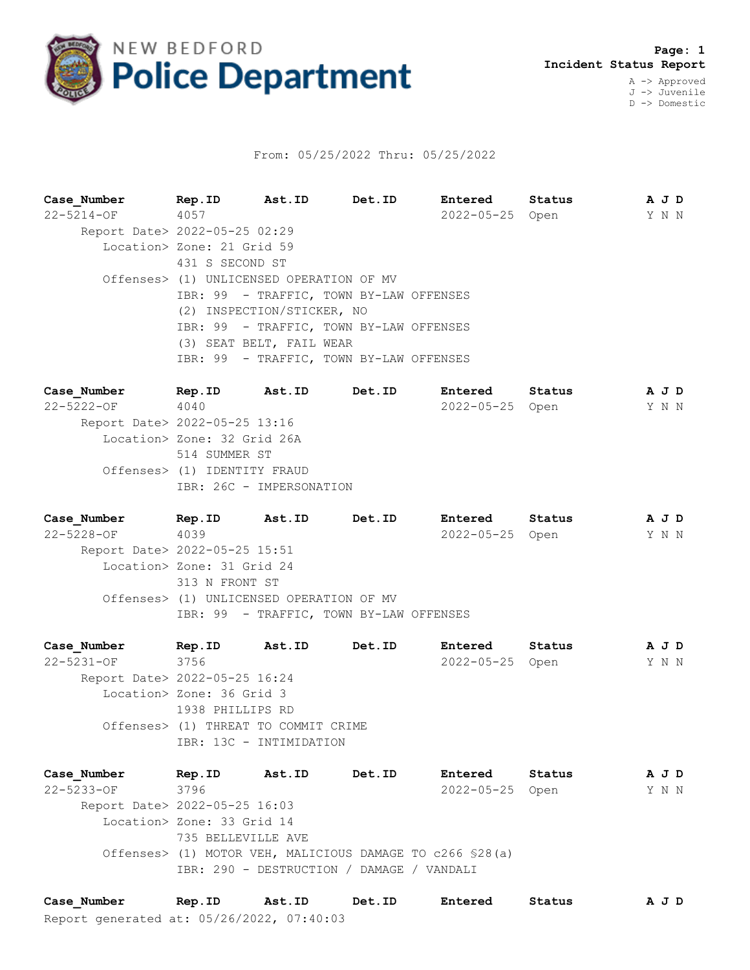

## From: 05/25/2022 Thru: 05/25/2022

**Case\_Number Rep.ID Ast.ID Det.ID Entered Status A J D** 22-5214-OF 4057 2022-05-25 Open Y N N Report Date> 2022-05-25 02:29 Location> Zone: 21 Grid 59 431 S SECOND ST Offenses> (1) UNLICENSED OPERATION OF MV IBR: 99 - TRAFFIC, TOWN BY-LAW OFFENSES (2) INSPECTION/STICKER, NO IBR: 99 - TRAFFIC, TOWN BY-LAW OFFENSES (3) SEAT BELT, FAIL WEAR IBR: 99 - TRAFFIC, TOWN BY-LAW OFFENSES

**Case\_Number Rep.ID Ast.ID Det.ID Entered Status A J D** 22-5222-OF 4040 2022-05-25 Open Y N N Report Date> 2022-05-25 13:16 Location> Zone: 32 Grid 26A 514 SUMMER ST Offenses> (1) IDENTITY FRAUD IBR: 26C - IMPERSONATION

**Case\_Number Rep.ID Ast.ID Det.ID Entered Status A J D** 22-5228-OF 4039 2022-05-25 Open Y N N Report Date> 2022-05-25 15:51 Location> Zone: 31 Grid 24 313 N FRONT ST Offenses> (1) UNLICENSED OPERATION OF MV IBR: 99 - TRAFFIC, TOWN BY-LAW OFFENSES

**Case\_Number Rep.ID Ast.ID Det.ID Entered Status A J D** 22-5231-OF 3756 2022-05-25 Open Y N N Report Date> 2022-05-25 16:24 Location> Zone: 36 Grid 3 1938 PHILLIPS RD Offenses> (1) THREAT TO COMMIT CRIME IBR: 13C - INTIMIDATION

**Case\_Number Rep.ID Ast.ID Det.ID Entered Status A J D** 22-5233-OF 3796 2022-05-25 Open Y N N Report Date> 2022-05-25 16:03 Location> Zone: 33 Grid 14 735 BELLEVILLE AVE Offenses> (1) MOTOR VEH, MALICIOUS DAMAGE TO c266 §28(a) IBR: 290 - DESTRUCTION / DAMAGE / VANDALI

Report generated at: 05/26/2022, 07:40:03 **Case\_Number Rep.ID Ast.ID Det.ID Entered Status A J D**